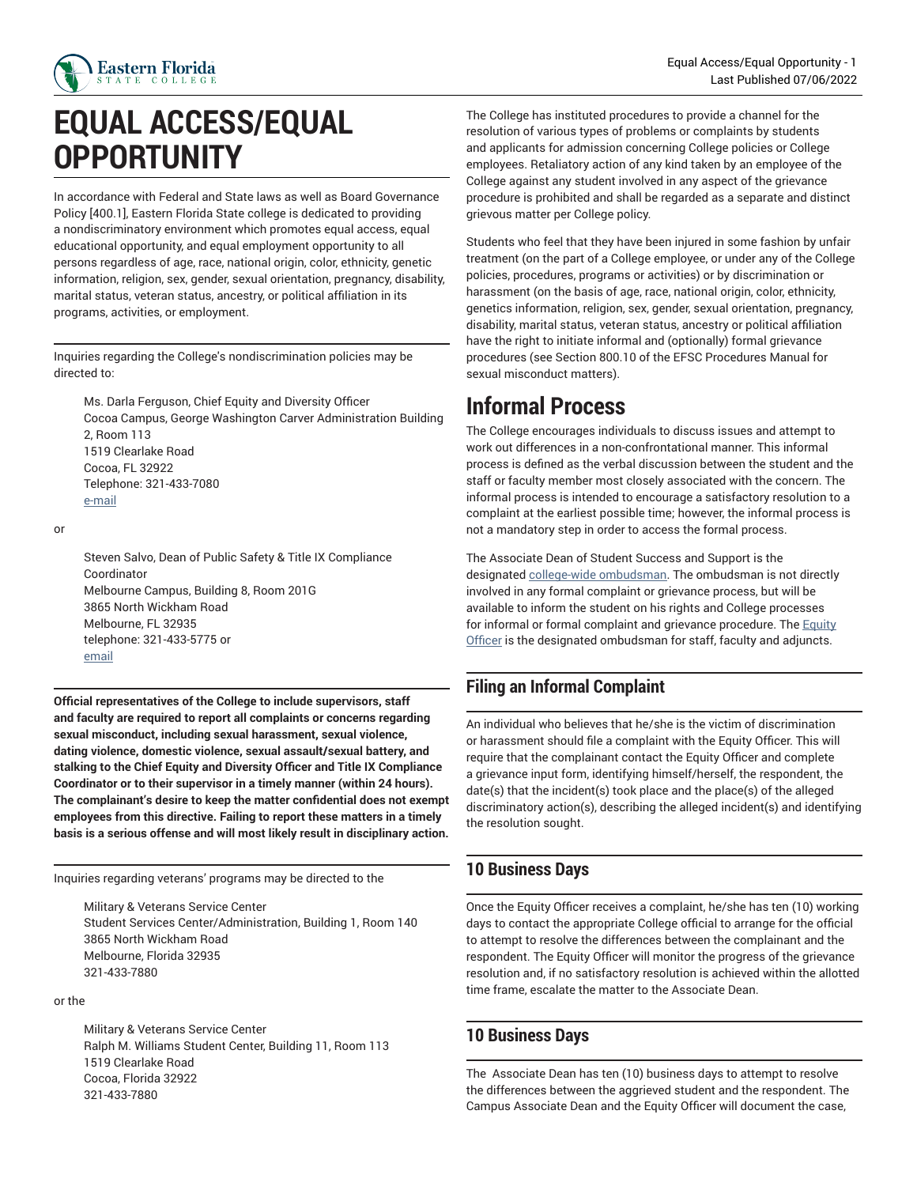

# **EQUAL ACCESS/EQUAL OPPORTUNITY**

In accordance with Federal and State laws as well as Board Governance Policy [400.1], Eastern Florida State college is dedicated to providing a nondiscriminatory environment which promotes equal access, equal educational opportunity, and equal employment opportunity to all persons regardless of age, race, national origin, color, ethnicity, genetic information, religion, sex, gender, sexual orientation, pregnancy, disability, marital status, veteran status, ancestry, or political affiliation in its programs, activities, or employment.

Inquiries regarding the College's nondiscrimination policies may be directed to:

Ms. Darla Ferguson, Chief Equity and Diversity Officer Cocoa Campus, George Washington Carver Administration Building 2, Room 113 1519 Clearlake Road Cocoa, FL 32922 Telephone: 321-433-7080 [e-mail](mailto:fergusond@easternflorida.edu)

or

Steven Salvo, Dean of Public Safety & Title IX Compliance Coordinator Melbourne Campus, Building 8, Room 201G 3865 North Wickham Road Melbourne, FL 32935 telephone: 321-433-5775 or [email](mailto:salvos@easternflorida.edu)

**Official representatives of the College to include supervisors, staff and faculty are required to report all complaints or concerns regarding sexual misconduct, including sexual harassment, sexual violence, dating violence, domestic violence, sexual assault/sexual battery, and stalking to the Chief Equity and Diversity Officer and Title IX Compliance Coordinator or to their supervisor in a timely manner (within 24 hours). The complainant's desire to keep the matter confidential does not exempt employees from this directive. Failing to report these matters in a timely basis is a serious offense and will most likely result in disciplinary action.**

Inquiries regarding veterans' programs may be directed to the

Military & Veterans Service Center Student Services Center/Administration, Building 1, Room 140 3865 North Wickham Road Melbourne, Florida 32935 321-433-7880

#### or the

Military & Veterans Service Center Ralph M. Williams Student Center, Building 11, Room 113 1519 Clearlake Road Cocoa, Florida 32922 321-433-7880

The College has instituted procedures to provide a channel for the resolution of various types of problems or complaints by students and applicants for admission concerning College policies or College employees. Retaliatory action of any kind taken by an employee of the College against any student involved in any aspect of the grievance procedure is prohibited and shall be regarded as a separate and distinct grievous matter per College policy.

Students who feel that they have been injured in some fashion by unfair treatment (on the part of a College employee, or under any of the College policies, procedures, programs or activities) or by discrimination or harassment (on the basis of age, race, national origin, color, ethnicity, genetics information, religion, sex, gender, sexual orientation, pregnancy, disability, marital status, veteran status, ancestry or political affiliation have the right to initiate informal and (optionally) formal grievance procedures (see Section 800.10 of the EFSC Procedures Manual for sexual misconduct matters).

### **Informal Process**

The College encourages individuals to discuss issues and attempt to work out differences in a non-confrontational manner. This informal process is defined as the verbal discussion between the student and the staff or faculty member most closely associated with the concern. The informal process is intended to encourage a satisfactory resolution to a complaint at the earliest possible time; however, the informal process is not a mandatory step in order to access the formal process.

The Associate Dean of Student Success and Support is the designated [college-wide ombudsman](https://catalog.easternflorida.edu/student-handbook/#studentombudsmantext). The ombudsman is not directly involved in any formal complaint or grievance process, but will be available to inform the student on his rights and College processes for informal or formal complaint and grievance procedure. The [Equity](https://easternflorida.edu/administration-departments/human-resources/equity-nondiscrimination/) [Officer](https://easternflorida.edu/administration-departments/human-resources/equity-nondiscrimination/) is the designated ombudsman for staff, faculty and adjuncts.

#### **Filing an Informal Complaint**

An individual who believes that he/she is the victim of discrimination or harassment should file a complaint with the Equity Officer. This will require that the complainant contact the Equity Officer and complete a grievance input form, identifying himself/herself, the respondent, the date(s) that the incident(s) took place and the place(s) of the alleged discriminatory action(s), describing the alleged incident(s) and identifying the resolution sought.

#### **10 Business Days**

Once the Equity Officer receives a complaint, he/she has ten (10) working days to contact the appropriate College official to arrange for the official to attempt to resolve the differences between the complainant and the respondent. The Equity Officer will monitor the progress of the grievance resolution and, if no satisfactory resolution is achieved within the allotted time frame, escalate the matter to the Associate Dean.

#### **10 Business Days**

The Associate Dean has ten (10) business days to attempt to resolve the differences between the aggrieved student and the respondent. The Campus Associate Dean and the Equity Officer will document the case,